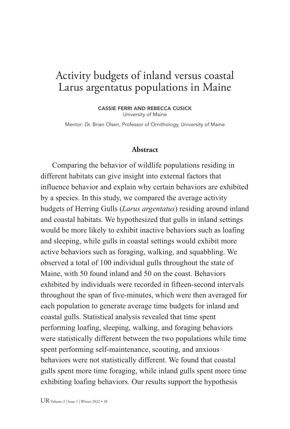# Activity budgets of inland versus coastal Larus argentatus populations in Maine

CASSIE FERRI AND REBECCA CUSICK University of Maine

Mentor: Dr. Brian Olsen, Professor of Ornithology, University of Maine

#### **Abstract**

Comparing the behavior of wildlife populations residing in different habitats can give insight into external factors that influence behavior and explain why certain behaviors are exhibited by a species. In this study, we compared the average activity budgets of Herring Gulls (*Larus argentatus*) residing around inland and coastal habitats. We hypothesized that gulls in inland settings would be more likely to exhibit inactive behaviors such as loafing and sleeping, while gulls in coastal settings would exhibit more active behaviors such as foraging, walking, and squabbling. We observed a total of 100 individual gulls throughout the state of Maine, with 50 found inland and 50 on the coast. Behaviors exhibited by individuals were recorded in fifteen-second intervals throughout the span of five-minutes, which were then averaged for each population to generate average time budgets for inland and coastal gulls. Statistical analysis revealed that time spent performing loafing, sleeping, walking, and foraging behaviors were statistically different between the two populations while time spent performing self-maintenance, scouting, and anxious behaviors were not statistically different. We found that coastal gulls spent more time foraging, while inland gulls spent more time exhibiting loafing behaviors. Our results support the hypothesis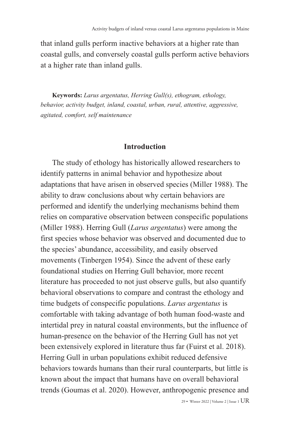that inland gulls perform inactive behaviors at a higher rate than coastal gulls, and conversely coastal gulls perform active behaviors at a higher rate than inland gulls.

**Keywords:** *Larus argentatus, Herring Gull(s), ethogram, ethology, behavior, activity budget, inland, coastal, urban, rural, attentive, aggressive, agitated, comfort, self maintenance* 

#### **Introduction**

The study of ethology has historically allowed researchers to identify patterns in animal behavior and hypothesize about adaptations that have arisen in observed species (Miller 1988). The ability to draw conclusions about why certain behaviors are performed and identify the underlying mechanisms behind them relies on comparative observation between conspecific populations (Miller 1988). Herring Gull (*Larus argentatus*) were among the first species whose behavior was observed and documented due to the species' abundance, accessibility, and easily observed movements (Tinbergen 1954). Since the advent of these early foundational studies on Herring Gull behavior, more recent literature has proceeded to not just observe gulls, but also quantify behavioral observations to compare and contrast the ethology and time budgets of conspecific populations. *Larus argentatus* is comfortable with taking advantage of both human food-waste and intertidal prey in natural coastal environments, but the influence of human-presence on the behavior of the Herring Gull has not yet been extensively explored in literature thus far (Fuirst et al. 2018). Herring Gull in urban populations exhibit reduced defensive behaviors towards humans than their rural counterparts, but little is known about the impact that humans have on overall behavioral trends (Goumas et al. 2020). However, anthropogenic presence and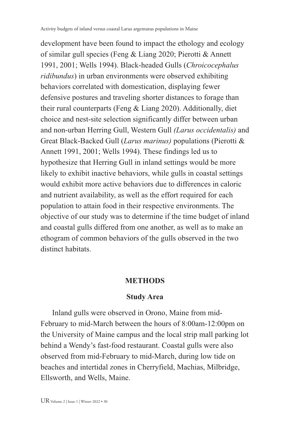development have been found to impact the ethology and ecology of similar gull species (Feng & Liang 2020; Pierotti & Annett 1991, 2001; Wells 1994). Black-headed Gulls (*Chroicocephalus ridibundus*) in urban environments were observed exhibiting behaviors correlated with domestication, displaying fewer defensive postures and traveling shorter distances to forage than their rural counterparts (Feng & Liang 2020). Additionally, diet choice and nest-site selection significantly differ between urban and non-urban Herring Gull, Western Gull *(Larus occidentalis)* and Great Black-Backed Gull (*Larus marinus)* populations (Pierotti & Annett 1991, 2001; Wells 1994). These findings led us to hypothesize that Herring Gull in inland settings would be more likely to exhibit inactive behaviors, while gulls in coastal settings would exhibit more active behaviors due to differences in caloric and nutrient availability, as well as the effort required for each population to attain food in their respective environments. The objective of our study was to determine if the time budget of inland and coastal gulls differed from one another, as well as to make an ethogram of common behaviors of the gulls observed in the two distinct habitats.

## **METHODS**

## **Study Area**

Inland gulls were observed in Orono, Maine from mid-February to mid-March between the hours of 8:00am-12:00pm on the University of Maine campus and the local strip mall parking lot behind a Wendy's fast-food restaurant. Coastal gulls were also observed from mid-February to mid-March, during low tide on beaches and intertidal zones in Cherryfield, Machias, Milbridge, Ellsworth, and Wells, Maine.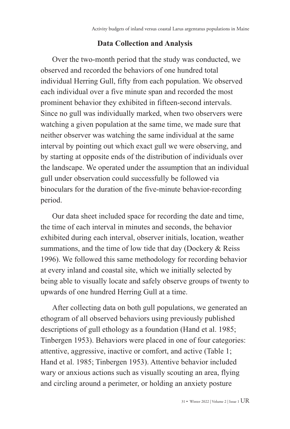# **Data Collection and Analysis**

Over the two-month period that the study was conducted, we observed and recorded the behaviors of one hundred total individual Herring Gull, fifty from each population. We observed each individual over a five minute span and recorded the most prominent behavior they exhibited in fifteen-second intervals. Since no gull was individually marked, when two observers were watching a given population at the same time, we made sure that neither observer was watching the same individual at the same interval by pointing out which exact gull we were observing, and by starting at opposite ends of the distribution of individuals over the landscape. We operated under the assumption that an individual gull under observation could successfully be followed via binoculars for the duration of the five-minute behavior-recording period.

Our data sheet included space for recording the date and time, the time of each interval in minutes and seconds, the behavior exhibited during each interval, observer initials, location, weather summations, and the time of low tide that day (Dockery & Reiss 1996). We followed this same methodology for recording behavior at every inland and coastal site, which we initially selected by being able to visually locate and safely observe groups of twenty to upwards of one hundred Herring Gull at a time.

After collecting data on both gull populations, we generated an ethogram of all observed behaviors using previously published descriptions of gull ethology as a foundation (Hand et al. 1985; Tinbergen 1953). Behaviors were placed in one of four categories: attentive, aggressive, inactive or comfort, and active (Table 1; Hand et al. 1985; Tinbergen 1953). Attentive behavior included wary or anxious actions such as visually scouting an area, flying and circling around a perimeter, or holding an anxiety posture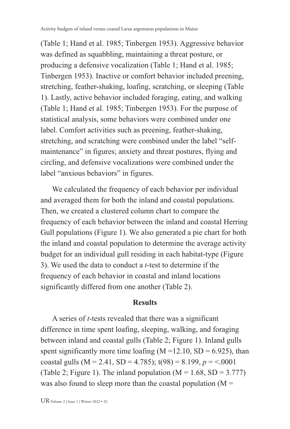(Table 1; Hand et al. 1985; Tinbergen 1953). Aggressive behavior was defined as squabbling, maintaining a threat posture, or producing a defensive vocalization (Table 1; Hand et al. 1985; Tinbergen 1953). Inactive or comfort behavior included preening, stretching, feather-shaking, loafing, scratching, or sleeping (Table 1). Lastly, active behavior included foraging, eating, and walking (Table 1; Hand et al. 1985; Tinbergen 1953). For the purpose of statistical analysis, some behaviors were combined under one label. Comfort activities such as preening, feather-shaking, stretching, and scratching were combined under the label "selfmaintenance" in figures; anxiety and threat postures, flying and circling, and defensive vocalizations were combined under the label "anxious behaviors" in figures.

We calculated the frequency of each behavior per individual and averaged them for both the inland and coastal populations. Then, we created a clustered column chart to compare the frequency of each behavior between the inland and coastal Herring Gull populations (Figure 1). We also generated a pie chart for both the inland and coastal population to determine the average activity budget for an individual gull residing in each habitat-type (Figure 3). We used the data to conduct a *t*-test to determine if the frequency of each behavior in coastal and inland locations significantly differed from one another (Table 2).

#### **Results**

A series of *t*-tests revealed that there was a significant difference in time spent loafing, sleeping, walking, and foraging between inland and coastal gulls (Table 2; Figure 1). Inland gulls spent significantly more time loafing  $(M = 12.10, SD = 6.925)$ , than coastal gulls ( $M = 2.41$ ,  $SD = 4.785$ );  $t(98) = 8.199$ ,  $p = 5.0001$ (Table 2; Figure 1). The inland population  $(M = 1.68, SD = 3.777)$ ) was also found to sleep more than the coastal population  $(M =$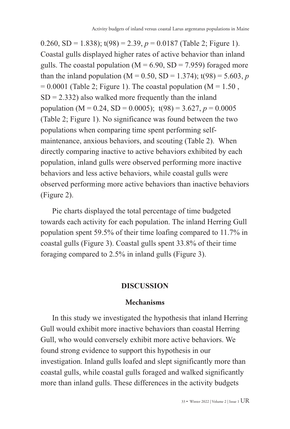0.260, SD = 1.838);  $t(98) = 2.39$ ,  $p = 0.0187$  (Table 2; Figure 1). Coastal gulls displayed higher rates of active behavior than inland gulls. The coastal population ( $M = 6.90$ ,  $SD = 7.959$ ) foraged more than the inland population ( $M = 0.50$ ,  $SD = 1.374$ );  $t(98) = 5.603$ , *p*  $= 0.0001$  (Table 2; Figure 1). The coastal population (M = 1.50,  $SD = 2.332$ ) also walked more frequently than the inland population (M = 0.24, SD = 0.0005);  $t(98) = 3.627, p = 0.0005$ (Table 2; Figure 1). No significance was found between the two populations when comparing time spent performing selfmaintenance, anxious behaviors, and scouting (Table 2). When directly comparing inactive to active behaviors exhibited by each population, inland gulls were observed performing more inactive behaviors and less active behaviors, while coastal gulls were observed performing more active behaviors than inactive behaviors (Figure 2).

Pie charts displayed the total percentage of time budgeted towards each activity for each population. The inland Herring Gull population spent 59.5% of their time loafing compared to 11.7% in coastal gulls (Figure 3). Coastal gulls spent 33.8% of their time foraging compared to 2.5% in inland gulls (Figure 3).

#### **DISCUSSION**

#### **Mechanisms**

In this study we investigated the hypothesis that inland Herring Gull would exhibit more inactive behaviors than coastal Herring Gull, who would conversely exhibit more active behaviors. We found strong evidence to support this hypothesis in our investigation. Inland gulls loafed and slept significantly more than coastal gulls, while coastal gulls foraged and walked significantly more than inland gulls. These differences in the activity budgets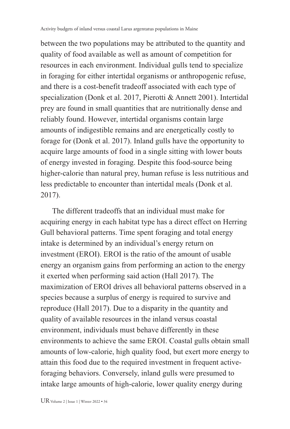between the two populations may be attributed to the quantity and quality of food available as well as amount of competition for resources in each environment. Individual gulls tend to specialize in foraging for either intertidal organisms or anthropogenic refuse, and there is a cost-benefit tradeoff associated with each type of specialization (Donk et al. 2017, Pierotti & Annett 2001). Intertidal prey are found in small quantities that are nutritionally dense and reliably found. However, intertidal organisms contain large amounts of indigestible remains and are energetically costly to forage for (Donk et al. 2017). Inland gulls have the opportunity to acquire large amounts of food in a single sitting with lower bouts of energy invested in foraging. Despite this food-source being higher-calorie than natural prey, human refuse is less nutritious and less predictable to encounter than intertidal meals (Donk et al. 2017).

The different tradeoffs that an individual must make for acquiring energy in each habitat type has a direct effect on Herring Gull behavioral patterns. Time spent foraging and total energy intake is determined by an individual's energy return on investment (EROI). EROI is the ratio of the amount of usable energy an organism gains from performing an action to the energy it exerted when performing said action (Hall 2017). The maximization of EROI drives all behavioral patterns observed in a species because a surplus of energy is required to survive and reproduce (Hall 2017). Due to a disparity in the quantity and quality of available resources in the inland versus coastal environment, individuals must behave differently in these environments to achieve the same EROI. Coastal gulls obtain small amounts of low-calorie, high quality food, but exert more energy to attain this food due to the required investment in frequent activeforaging behaviors. Conversely, inland gulls were presumed to intake large amounts of high-calorie, lower quality energy during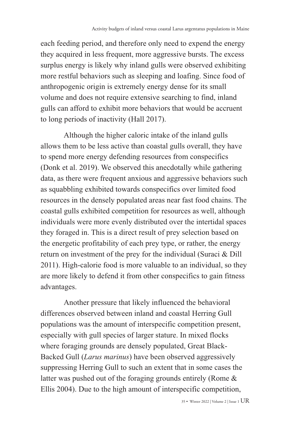each feeding period, and therefore only need to expend the energy they acquired in less frequent, more aggressive bursts. The excess surplus energy is likely why inland gulls were observed exhibiting more restful behaviors such as sleeping and loafing. Since food of anthropogenic origin is extremely energy dense for its small volume and does not require extensive searching to find, inland gulls can afford to exhibit more behaviors that would be accruent to long periods of inactivity (Hall 2017).

Although the higher caloric intake of the inland gulls allows them to be less active than coastal gulls overall, they have to spend more energy defending resources from conspecifics (Donk et al. 2019). We observed this anecdotally while gathering data, as there were frequent anxious and aggressive behaviors such as squabbling exhibited towards conspecifics over limited food resources in the densely populated areas near fast food chains. The coastal gulls exhibited competition for resources as well, although individuals were more evenly distributed over the intertidal spaces they foraged in. This is a direct result of prey selection based on the energetic profitability of each prey type, or rather, the energy return on investment of the prey for the individual (Suraci & Dill 2011). High-calorie food is more valuable to an individual, so they are more likely to defend it from other conspecifics to gain fitness advantages.

Another pressure that likely influenced the behavioral differences observed between inland and coastal Herring Gull populations was the amount of interspecific competition present, especially with gull species of larger stature. In mixed flocks where foraging grounds are densely populated, Great Black-Backed Gull (*Larus marinus*) have been observed aggressively suppressing Herring Gull to such an extent that in some cases the latter was pushed out of the foraging grounds entirely (Rome & Ellis 2004). Due to the high amount of interspecific competition,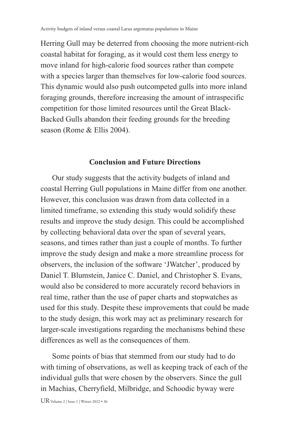Herring Gull may be deterred from choosing the more nutrient-rich coastal habitat for foraging, as it would cost them less energy to move inland for high-calorie food sources rather than compete with a species larger than themselves for low-calorie food sources. This dynamic would also push outcompeted gulls into more inland foraging grounds, therefore increasing the amount of intraspecific competition for those limited resources until the Great Black-Backed Gulls abandon their feeding grounds for the breeding season (Rome & Ellis 2004).

#### **Conclusion and Future Directions**

Our study suggests that the activity budgets of inland and coastal Herring Gull populations in Maine differ from one another. However, this conclusion was drawn from data collected in a limited timeframe, so extending this study would solidify these results and improve the study design. This could be accomplished by collecting behavioral data over the span of several years, seasons, and times rather than just a couple of months. To further improve the study design and make a more streamline process for observers, the inclusion of the software 'JWatcher', produced by Daniel T. Blumstein, Janice C. Daniel, and Christopher S. Evans, would also be considered to more accurately record behaviors in real time, rather than the use of paper charts and stopwatches as used for this study. Despite these improvements that could be made to the study design, this work may act as preliminary research for larger-scale investigations regarding the mechanisms behind these differences as well as the consequences of them.

Some points of bias that stemmed from our study had to do with timing of observations, as well as keeping track of each of the individual gulls that were chosen by the observers. Since the gull in Machias, Cherryfield, Milbridge, and Schoodic byway were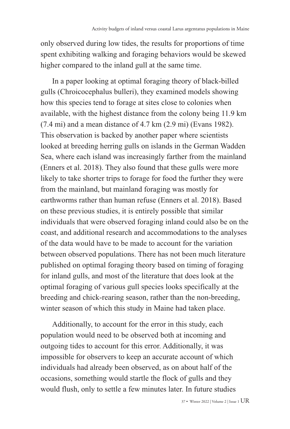only observed during low tides, the results for proportions of time spent exhibiting walking and foraging behaviors would be skewed higher compared to the inland gull at the same time.

In a paper looking at optimal foraging theory of black-billed gulls (Chroicocephalus bulleri), they examined models showing how this species tend to forage at sites close to colonies when available, with the highest distance from the colony being 11.9 km (7.4 mi) and a mean distance of 4.7 km (2.9 mi) (Evans 1982). This observation is backed by another paper where scientists looked at breeding herring gulls on islands in the German Wadden Sea, where each island was increasingly farther from the mainland (Enners et al. 2018). They also found that these gulls were more likely to take shorter trips to forage for food the further they were from the mainland, but mainland foraging was mostly for earthworms rather than human refuse (Enners et al. 2018). Based on these previous studies, it is entirely possible that similar individuals that were observed foraging inland could also be on the coast, and additional research and accommodations to the analyses of the data would have to be made to account for the variation between observed populations. There has not been much literature published on optimal foraging theory based on timing of foraging for inland gulls, and most of the literature that does look at the optimal foraging of various gull species looks specifically at the breeding and chick-rearing season, rather than the non-breeding, winter season of which this study in Maine had taken place.

Additionally, to account for the error in this study, each population would need to be observed both at incoming and outgoing tides to account for this error. Additionally, it was impossible for observers to keep an accurate account of which individuals had already been observed, as on about half of the occasions, something would startle the flock of gulls and they would flush, only to settle a few minutes later. In future studies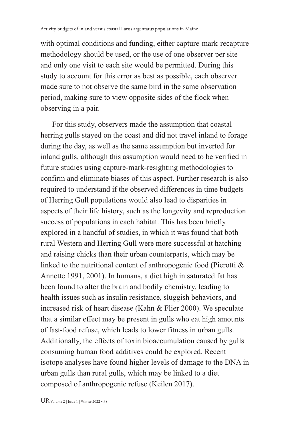with optimal conditions and funding, either capture-mark-recapture methodology should be used, or the use of one observer per site and only one visit to each site would be permitted. During this study to account for this error as best as possible, each observer made sure to not observe the same bird in the same observation period, making sure to view opposite sides of the flock when observing in a pair.

For this study, observers made the assumption that coastal herring gulls stayed on the coast and did not travel inland to forage during the day, as well as the same assumption but inverted for inland gulls, although this assumption would need to be verified in future studies using capture-mark-resighting methodologies to confirm and eliminate biases of this aspect. Further research is also required to understand if the observed differences in time budgets of Herring Gull populations would also lead to disparities in aspects of their life history, such as the longevity and reproduction success of populations in each habitat. This has been briefly explored in a handful of studies, in which it was found that both rural Western and Herring Gull were more successful at hatching and raising chicks than their urban counterparts, which may be linked to the nutritional content of anthropogenic food (Pierotti & Annette 1991, 2001). In humans, a diet high in saturated fat has been found to alter the brain and bodily chemistry, leading to health issues such as insulin resistance, sluggish behaviors, and increased risk of heart disease (Kahn & Flier 2000). We speculate that a similar effect may be present in gulls who eat high amounts of fast-food refuse, which leads to lower fitness in urban gulls. Additionally, the effects of toxin bioaccumulation caused by gulls consuming human food additives could be explored. Recent isotope analyses have found higher levels of damage to the DNA in urban gulls than rural gulls, which may be linked to a diet composed of anthropogenic refuse (Keilen 2017).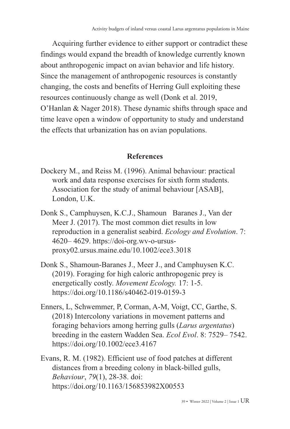Acquiring further evidence to either support or contradict these findings would expand the breadth of knowledge currently known about anthropogenic impact on avian behavior and life history. Since the management of anthropogenic resources is constantly changing, the costs and benefits of Herring Gull exploiting these resources continuously change as well (Donk et al. 2019, O'Hanlan & Nager 2018). These dynamic shifts through space and time leave open a window of opportunity to study and understand the effects that urbanization has on avian populations.

### **References**

- Dockery M., and Reiss M. (1996). Animal behaviour: practical work and data response exercises for sixth form students. Association for the study of animal behaviour [ASAB], London, U.K.
- Donk S., Camphuysen, K.C.J., Shamoun Baranes J., Van der Meer J. (2017). The most common diet results in low reproduction in a generalist seabird. *Ecology and Evolution*. 7: 4620– 4629. [https://doi-org.wv-o-ursus](https://doi-org.wv-o-ursus-proxy02.ursus.maine.edu/10.1002/ece3.3018)[proxy02.ursus.maine.edu/10.1002/ece3.3018](https://doi-org.wv-o-ursus-proxy02.ursus.maine.edu/10.1002/ece3.3018)
- Donk S., Shamoun-Baranes J., Meer J., and Camphuysen K.C. (2019). Foraging for high caloric anthropogenic prey is energetically costly. *Movement Ecology.* 17: 1-5. <https://doi.org/10.1186/s40462-019-0159-3>
- Enners, L, Schwemmer, P, Corman, A-M, Voigt, CC, Garthe, S. (2018) Intercolony variations in movement patterns and foraging behaviors among herring gulls (*Larus argentatus*) breeding in the eastern Wadden Sea. *Ecol Evol*. 8: 7529– 7542. <https://doi.org/10.1002/ece3.4167>
- Evans, R. M. (1982). Efficient use of food patches at different distances from a breeding colony in black-billed gulls, *Behaviour*, *79*(1), 28-38. doi: <https://doi.org/10.1163/156853982X00553>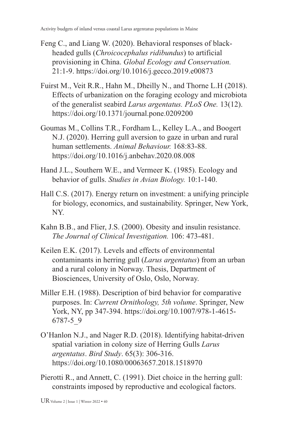- Feng C., and Liang W. (2020). Behavioral responses of blackheaded gulls (*Chroicocephalus ridibundus*) to artificial provisioning in China. *Global Ecology and Conservation.* 21:1-9.<https://doi.org/10.1016/j.gecco.2019.e00873>
- Fuirst M., Veit R.R., Hahn M., Dheilly N., and Thorne L.H (2018). Effects of urbanization on the foraging ecology and microbiota of the generalist seabird *Larus argentatus. PLoS One.* 13(12). <https://doi.org/10.1371/journal.pone.0209200>
- Goumas M., Collins T.R., Fordham L., Kelley L.A., and Boogert N.J. (2020). Herring gull aversion to gaze in urban and rural human settlements. *Animal Behaviour.* 168:83-88. <https://doi.org/10.1016/j.anbehav.2020.08.008>
- Hand J.L., Southern W.E., and Vermeer K. (1985). Ecology and behavior of gulls. *Studies in Avian Biology.* 10:1-140.
- Hall C.S. (2017). Energy return on investment: a unifying principle for biology, economics, and sustainability. Springer, New York, NY.
- Kahn B.B., and Flier, J.S. (2000). Obesity and insulin resistance. *The Journal of Clinical Investigation.* 106: 473-481.
- Keilen E.K. (2017). Levels and effects of environmental contaminants in herring gull (*Larus argentatus*) from an urban and a rural colony in Norway. Thesis, Department of Biosciences, University of Oslo, Oslo, Norway.
- Miller E.H. (1988). Description of bird behavior for comparative purposes. In: *Current Ornithology, 5th volume*. Springer, New York, NY, pp 347-394. [https://doi.org/10.1007/978-1-4615-](https://doi.org/10.1007/978-1-4615-6787-5_9) [6787-5\\_9](https://doi.org/10.1007/978-1-4615-6787-5_9)
- O'Hanlon N.J., and Nager R.D. (2018). Identifying habitat-driven spatial variation in colony size of Herring Gulls *Larus argentatus*. *Bird Study*. 65(3): 306-316. <https://doi.org/10.1080/00063657.2018.1518970>
- Pierotti R., and Annett, C. (1991). Diet choice in the herring gull: constraints imposed by reproductive and ecological factors.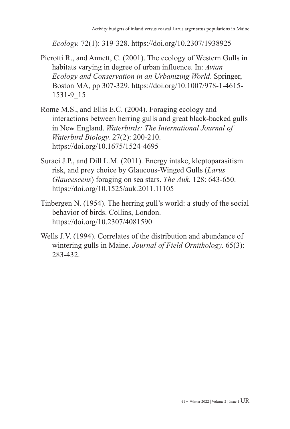*Ecology.* 72(1): 319-328.<https://doi.org/10.2307/1938925>

- Pierotti R., and Annett, C. (2001). The ecology of Western Gulls in habitats varying in degree of urban influence. In: *Avian Ecology and Conservation in an Urbanizing World*. Springer, Boston MA, pp 307-329. [https://doi.org/10.1007/978-1-4615-](https://doi.org/10.1007/978-1-4615-1531-9_15) [1531-9\\_15](https://doi.org/10.1007/978-1-4615-1531-9_15)
- Rome M.S., and Ellis E.C. (2004). Foraging ecology and interactions between herring gulls and great black-backed gulls in New England. *Waterbirds: The International Journal of Waterbird Biology.* 27(2): 200-210. [https://doi.org/10.1675/1524-4695](https://doi.org/10.1675/1524-4695(2004)027%5B0200:FEAIBH%5D2.0.CO;2)
- Suraci J.P., and Dill L.M. (2011). Energy intake, kleptoparasitism risk, and prey choice by Glaucous-Winged Gulls (*Larus Glaucescens*) foraging on sea stars. *The Auk*. 128: 643-650. <https://doi.org/10.1525/auk.2011.11105>
- Tinbergen N. (1954). The herring gull's world: a study of the social behavior of birds. Collins, London. <https://doi.org/10.2307/4081590>
- Wells J.V. (1994). Correlates of the distribution and abundance of wintering gulls in Maine. *Journal of Field Ornithology.* 65(3): 283-432.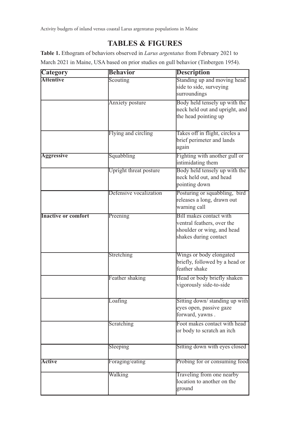# **TABLES & FIGURES**

**Table 1.** Ethogram of behaviors observed in *Larus argentatus* from February 2021 to March 2021 in Maine, USA based on prior studies on gull behavior (Tinbergen 1954).

| <b>Category</b>            | <b>Behavior</b>        | <b>Description</b>             |  |  |  |
|----------------------------|------------------------|--------------------------------|--|--|--|
| <b>Attentive</b>           | Scouting               | Standing up and moving head    |  |  |  |
|                            |                        | side to side, surveying        |  |  |  |
|                            |                        | surroundings                   |  |  |  |
|                            | Anxiety posture        | Body held tensely up with the  |  |  |  |
|                            |                        | neck held out and upright, and |  |  |  |
|                            |                        | the head pointing up           |  |  |  |
|                            |                        |                                |  |  |  |
|                            | Flying and circling    | Takes off in flight, circles a |  |  |  |
|                            |                        | brief perimeter and lands      |  |  |  |
|                            |                        | again                          |  |  |  |
| <b>Aggressive</b>          | Squabbling             | Fighting with another gull or  |  |  |  |
|                            |                        | intimidating them              |  |  |  |
|                            | Upright threat posture | Body held tensely up with the  |  |  |  |
|                            |                        | neck held out, and head        |  |  |  |
|                            |                        | pointing down                  |  |  |  |
|                            | Defensive vocalization | Posturing or squabbling, bird  |  |  |  |
|                            |                        | releases a long, drawn out     |  |  |  |
|                            |                        | warning call                   |  |  |  |
| <b>Inactive or comfort</b> | Preening               | Bill makes contact with        |  |  |  |
|                            |                        | ventral feathers, over the     |  |  |  |
|                            |                        | shoulder or wing, and head     |  |  |  |
|                            |                        | shakes during contact          |  |  |  |
|                            |                        |                                |  |  |  |
|                            |                        |                                |  |  |  |
|                            | Stretching             | Wings or body elongated        |  |  |  |
|                            |                        | briefly, followed by a head or |  |  |  |
|                            |                        | feather shake                  |  |  |  |
|                            | Feather shaking        | Head or body briefly shaken    |  |  |  |
|                            |                        | vigorously side-to-side        |  |  |  |
|                            |                        |                                |  |  |  |
|                            | Loafing                | Sitting down/standing up with  |  |  |  |
|                            |                        | eyes open, passive gaze        |  |  |  |
|                            |                        | forward, yawns.                |  |  |  |
|                            | Scratching             | Foot makes contact with head   |  |  |  |
|                            |                        | or body to scratch an itch     |  |  |  |
|                            |                        |                                |  |  |  |
|                            | Sleeping               | Sitting down with eyes closed  |  |  |  |
|                            |                        |                                |  |  |  |
| Active                     | Foraging/eating        | Probing for or consuming food  |  |  |  |
|                            |                        |                                |  |  |  |
|                            | Walking                | Traveling from one nearby      |  |  |  |
|                            |                        | location to another on the     |  |  |  |
|                            |                        | ground                         |  |  |  |
|                            |                        |                                |  |  |  |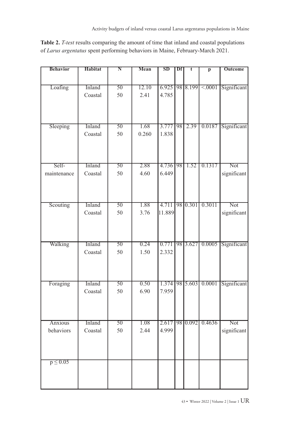**Table 2.** *T-test* results comparing the amount of time that inland and coastal populations of *Larus argentatus* spent performing behaviors in Maine, February-March 2021.

| <b>Behavior</b> | Habitat | $\overline{\bf N}$ | Mean  | SD     | Df | t              | $\overline{p}$ | Outcome     |
|-----------------|---------|--------------------|-------|--------|----|----------------|----------------|-------------|
|                 |         |                    |       |        |    |                |                |             |
| Loafing         | Inland  | 50                 | 12.10 |        |    | 6.925 98 8.199 | < 0.001        | Significant |
|                 | Coastal | 50                 | 2.41  | 4.785  |    |                |                |             |
|                 |         |                    |       |        |    |                |                |             |
|                 |         |                    |       |        |    |                |                |             |
|                 |         |                    |       |        |    |                |                |             |
| Sleeping        | Inland  | $\overline{50}$    | 1.68  | 3.777  | 98 | 2.39           | 0.0187         | Significant |
|                 | Coastal | 50                 | 0.260 | 1.838  |    |                |                |             |
|                 |         |                    |       |        |    |                |                |             |
|                 |         |                    |       |        |    |                |                |             |
|                 |         |                    |       |        |    |                |                |             |
| Self-           | Inland  | $\overline{50}$    | 2.88  | 4.736  | 98 | 1.52           | 0.1317         | Not         |
| maintenance     | Coastal | 50                 | 4.60  | 6.449  |    |                |                | significant |
|                 |         |                    |       |        |    |                |                |             |
|                 |         |                    |       |        |    |                |                |             |
|                 |         |                    |       |        |    |                |                |             |
| Scouting        | Inland  | 50                 | 1.88  | 4.711  |    | 98 0.301       | 0.3011         | Not         |
|                 | Coastal | 50                 | 3.76  | 11.889 |    |                |                | significant |
|                 |         |                    |       |        |    |                |                |             |
|                 |         |                    |       |        |    |                |                |             |
|                 |         |                    |       |        |    |                |                |             |
| Walking         | Inland  | 50                 | 0.24  | 0.771  |    | 98 3.627       | 0.0005         | Significant |
|                 | Coastal | 50                 | 1.50  | 2.332  |    |                |                |             |
|                 |         |                    |       |        |    |                |                |             |
|                 |         |                    |       |        |    |                |                |             |
|                 |         |                    |       |        |    |                |                |             |
| Foraging        | Inland  | $\overline{50}$    | 0.50  | 1.374  |    | 98 5.603       | 0.0001         | Significant |
|                 | Coastal | 50                 | 6.90  | 7.959  |    |                |                |             |
|                 |         |                    |       |        |    |                |                |             |
|                 |         |                    |       |        |    |                |                |             |
|                 |         |                    |       |        |    |                |                |             |
| Anxious         | Inland  | $\overline{50}$    | 1.08  | 2.617  |    | 98 0.092       | 0.4636         | Not         |
| behaviors       | Coastal | 50                 | 2.44  | 4.999  |    |                |                | significant |
|                 |         |                    |       |        |    |                |                |             |
|                 |         |                    |       |        |    |                |                |             |
|                 |         |                    |       |        |    |                |                |             |
| $p \leq 0.05$   |         |                    |       |        |    |                |                |             |
|                 |         |                    |       |        |    |                |                |             |
|                 |         |                    |       |        |    |                |                |             |
|                 |         |                    |       |        |    |                |                |             |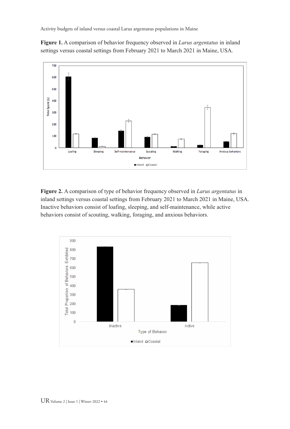Activity budgets of inland versus coastal Larus argentatus populations in Maine

**Figure 1.** A comparison of behavior frequency observed in *Larus argentatus* in inland settings versus coastal settings from February 2021 to March 2021 in Maine, USA.



**Figure 2.** A comparison of type of behavior frequency observed in *Larus argentatus* in inland settings versus coastal settings from February 2021 to March 2021 in Maine, USA. Inactive behaviors consist of loafing, sleeping, and self-maintenance, while active behaviors consist of scouting, walking, foraging, and anxious behaviors.